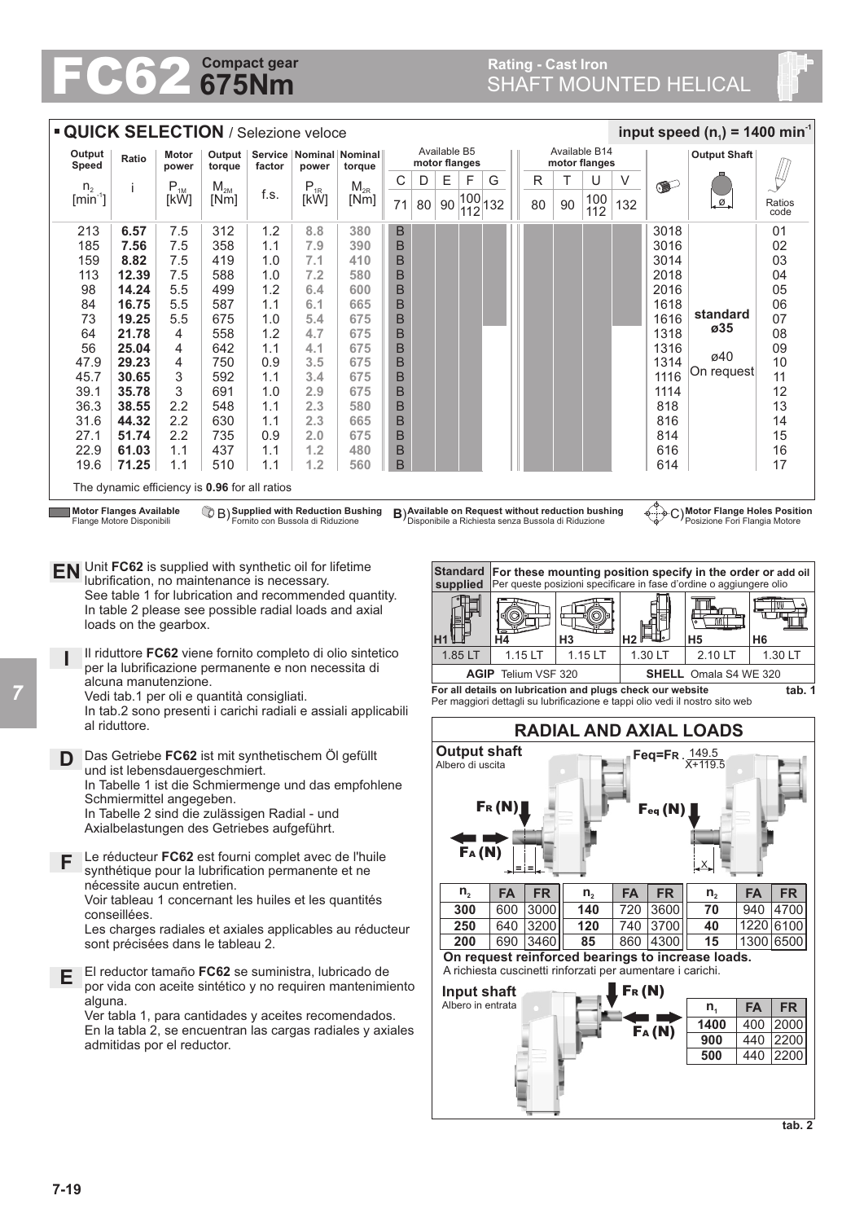## **675Nm Compact gear FC62 Compact gear**<br>**Rating - Cast Iron**<br>**Rating - Cast Iron**<br>**Rating - Cast Iron**<br>**RAFT MOUNTED HELICAL**

| <b>QUICK SELECTION / Selezione veloce</b><br>input speed ( $n_1$ ) = 1400 min <sup>-1</sup>                                                                                                                                                                                                                                                                                                                                                                                                                                                                                                                                                                                                                                                                                                                                                                                                                                                                                                                                                                                                                                                                                                                                                                                                                                                                                                                                                                                                                                                                                                                                                                                                                                                                                                                                                                                                                                                                                                                                                                                                                                                                                                                                                                                                                                                                                                                                                                                                                                                                                                                                                                                                                                                                                                                                                                                                                                                                                                           |                                                                                                                                                                                                                                                                                                                                                                                                                                                                                                                                                                                                                                                     |          |                    |        |                                        |          |    |    |                               |   |                                                                                                                                                                                                                                                                                                                                                                                                                                                                                                                                                                                     |               |   |   |               |     |           |                     |                |  |
|-------------------------------------------------------------------------------------------------------------------------------------------------------------------------------------------------------------------------------------------------------------------------------------------------------------------------------------------------------------------------------------------------------------------------------------------------------------------------------------------------------------------------------------------------------------------------------------------------------------------------------------------------------------------------------------------------------------------------------------------------------------------------------------------------------------------------------------------------------------------------------------------------------------------------------------------------------------------------------------------------------------------------------------------------------------------------------------------------------------------------------------------------------------------------------------------------------------------------------------------------------------------------------------------------------------------------------------------------------------------------------------------------------------------------------------------------------------------------------------------------------------------------------------------------------------------------------------------------------------------------------------------------------------------------------------------------------------------------------------------------------------------------------------------------------------------------------------------------------------------------------------------------------------------------------------------------------------------------------------------------------------------------------------------------------------------------------------------------------------------------------------------------------------------------------------------------------------------------------------------------------------------------------------------------------------------------------------------------------------------------------------------------------------------------------------------------------------------------------------------------------------------------------------------------------------------------------------------------------------------------------------------------------------------------------------------------------------------------------------------------------------------------------------------------------------------------------------------------------------------------------------------------------------------------------------------------------------------------------------------------------|-----------------------------------------------------------------------------------------------------------------------------------------------------------------------------------------------------------------------------------------------------------------------------------------------------------------------------------------------------------------------------------------------------------------------------------------------------------------------------------------------------------------------------------------------------------------------------------------------------------------------------------------------------|----------|--------------------|--------|----------------------------------------|----------|----|----|-------------------------------|---|-------------------------------------------------------------------------------------------------------------------------------------------------------------------------------------------------------------------------------------------------------------------------------------------------------------------------------------------------------------------------------------------------------------------------------------------------------------------------------------------------------------------------------------------------------------------------------------|---------------|---|---|---------------|-----|-----------|---------------------|----------------|--|
| Output<br>Motor<br>Ratio<br>Speed<br>power                                                                                                                                                                                                                                                                                                                                                                                                                                                                                                                                                                                                                                                                                                                                                                                                                                                                                                                                                                                                                                                                                                                                                                                                                                                                                                                                                                                                                                                                                                                                                                                                                                                                                                                                                                                                                                                                                                                                                                                                                                                                                                                                                                                                                                                                                                                                                                                                                                                                                                                                                                                                                                                                                                                                                                                                                                                                                                                                                            |                                                                                                                                                                                                                                                                                                                                                                                                                                                                                                                                                                                                                                                     |          | Output  <br>torque | factor | Service   Nominal   Nominal  <br>power | torque   |    |    | Available B5<br>motor flanges |   |                                                                                                                                                                                                                                                                                                                                                                                                                                                                                                                                                                                     | Available B14 |   |   | motor flanges |     |           | <b>Output Shaft</b> |                |  |
| n <sub>2</sub>                                                                                                                                                                                                                                                                                                                                                                                                                                                                                                                                                                                                                                                                                                                                                                                                                                                                                                                                                                                                                                                                                                                                                                                                                                                                                                                                                                                                                                                                                                                                                                                                                                                                                                                                                                                                                                                                                                                                                                                                                                                                                                                                                                                                                                                                                                                                                                                                                                                                                                                                                                                                                                                                                                                                                                                                                                                                                                                                                                                        | Ť                                                                                                                                                                                                                                                                                                                                                                                                                                                                                                                                                                                                                                                   | $P_{1M}$ | $M_{2M}$           |        | $\mathsf{P}_{\text{\rm 1R}}$           | $M_{2R}$ | С  | D  | Ε                             | F | G                                                                                                                                                                                                                                                                                                                                                                                                                                                                                                                                                                                   |               | R | Т | U             | V   | $\bullet$ |                     |                |  |
| $\left[\text{min}^1\right]$                                                                                                                                                                                                                                                                                                                                                                                                                                                                                                                                                                                                                                                                                                                                                                                                                                                                                                                                                                                                                                                                                                                                                                                                                                                                                                                                                                                                                                                                                                                                                                                                                                                                                                                                                                                                                                                                                                                                                                                                                                                                                                                                                                                                                                                                                                                                                                                                                                                                                                                                                                                                                                                                                                                                                                                                                                                                                                                                                                           |                                                                                                                                                                                                                                                                                                                                                                                                                                                                                                                                                                                                                                                     | [kW]     | [Nm]               | t.s.   | [kW]                                   | [Nm]     | 71 | 80 | 90                            |   |                                                                                                                                                                                                                                                                                                                                                                                                                                                                                                                                                                                     |               |   |   | 100           | 132 |           | ø                   | Ratios<br>code |  |
| $\frac{ 100 }{ 112 }$ 132<br>90<br>80<br>112<br>B<br>213<br>7.5<br>312<br>1.2<br>3018<br>01<br>6.57<br>8.8<br>380<br>185<br>7.56<br>7.5<br>358<br>B<br>3016<br>02<br>1.1<br>7.9<br>390<br>8.82<br>7.5<br>B<br>3014<br>03<br>159<br>419<br>1.0<br>7.1<br>410<br>7.5<br>588<br>B<br>2018<br>04<br>113<br>12.39<br>1.0<br>7.2<br>580<br>05<br>14.24<br>5.5<br>499<br>1.2<br>B<br>2016<br>98<br>600<br>6.4<br>16.75<br>5.5<br>B<br>1618<br>06<br>84<br>587<br>1.1<br>6.1<br>665<br>standard<br>07<br>73<br>5.5<br>675<br>B<br>19.25<br>5.4<br>675<br>1616<br>1.0<br>ø35<br>B<br>21.78<br>1.2<br>675<br>1318<br>08<br>64<br>4<br>558<br>4.7<br>25.04<br>B<br>09<br>56<br>4<br>642<br>675<br>1316<br>1.1<br>4.1<br>ø40<br>B<br>10<br>29.23<br>750<br>675<br>47.9<br>4<br>3.5<br>1314<br>0.9<br>On request<br>B<br>11<br>45.7<br>30.65<br>3<br>592<br>675<br>1116<br>1.1<br>3.4<br>35.78<br>3<br>691<br>B<br>12<br>39.1<br>1.0<br>2.9<br>675<br>1114<br>2.2<br>13<br>36.3<br>38.55<br>548<br>2.3<br>580<br>В<br>818<br>1.1<br>2.2<br>B<br>44.32<br>630<br>1.1<br>2.3<br>14<br>31.6<br>665<br>816<br>51.74<br>2.2<br>B<br>15<br>27.1<br>735<br>0.9<br>2.0<br>675<br>814<br>16<br>22.9<br>61.03<br>1.1<br>437<br>1.1<br>1.2<br>480<br>В<br>616<br>17<br>71.25<br>1.1<br>510<br>1.2<br>B<br>19.6<br>1.1<br>560<br>614<br>The dynamic efficiency is 0.96 for all ratios<br>CB) Supplied with Reduction Bushing<br>B) Available on Request without reduction bushing<br>C) Motor Flange Holes Position<br><b>Motor Flanges Available</b><br>ቀ⊹-ቃ<br>Fornito con Bussola di Riduzione<br>Disponibile a Richiesta senza Bussola di Riduzione<br>Posizione Fori Flangia Motore<br>Flange Motore Disponibili<br>EN Unit FC62 is supplied with synthetic oil for lifetime<br><b>Standard</b><br>For these mounting position specify in the order or add oil<br>lubrification, no maintenance is necessary.<br>supplied<br>Per queste posizioni specificare in fase d'ordine o aggiungere olio<br>See table 1 for lubrication and recommended quantity.<br>In table 2 please see possible radial loads and axial<br>ш<br>_nn_l<br>loads on the gearbox.<br>H <sub>3</sub><br>H <sub>2</sub><br>H4<br>H5<br>H6<br>Η1<br>Il riduttore FC62 viene fornito completo di olio sintetico<br>1.85 LT<br>2.10 LT<br>$1.15$ LT<br>1.15 LT<br>1.30 LT<br>1.30 LT<br>per la lubrificazione permanente e non necessita di<br><b>AGIP</b> Telium VSF 320<br><b>SHELL</b> Omala S4 WE 320<br>alcuna manutenzione.<br>For all details on lubrication and plugs check our website<br>tab. 1<br>Vedi tab.1 per oli e quantità consigliati.<br>Per maggiori dettagli su lubrificazione e tappi olio vedi il nostro sito web<br>In tab.2 sono presenti i carichi radiali e assiali applicabili<br>al riduttore.<br><b>RADIAL AND AXIAL LOADS</b><br><b>Output shaft</b><br>$Feq = Fr.\frac{149.5}{F}$<br>Das Getriebe FC62 ist mit synthetischem Öl gefüllt<br>D<br>$X + 119.5$<br>в.<br>Albero di uscita<br>und ist lebensdauergeschmiert. |                                                                                                                                                                                                                                                                                                                                                                                                                                                                                                                                                                                                                                                     |          |                    |        |                                        |          |    |    |                               |   |                                                                                                                                                                                                                                                                                                                                                                                                                                                                                                                                                                                     |               |   |   |               |     |           |                     |                |  |
| In Tabelle 2 sind die zulässigen Radial - und<br>F<br>Е                                                                                                                                                                                                                                                                                                                                                                                                                                                                                                                                                                                                                                                                                                                                                                                                                                                                                                                                                                                                                                                                                                                                                                                                                                                                                                                                                                                                                                                                                                                                                                                                                                                                                                                                                                                                                                                                                                                                                                                                                                                                                                                                                                                                                                                                                                                                                                                                                                                                                                                                                                                                                                                                                                                                                                                                                                                                                                                                               | Axialbelastungen des Getriebes aufgeführt.<br>Le réducteur FC62 est fourni complet avec de l'huile<br>synthétique pour la lubrification permanente et ne<br>nécessite aucun entretien.<br>Voir tableau 1 concernant les huiles et les quantités<br>conseillées.<br>Les charges radiales et axiales applicables au réducteur<br>sont précisées dans le tableau 2.<br>El reductor tamaño FC62 se suministra, lubricado de<br>por vida con aceite sintético y no requiren mantenimiento<br>alguna.<br>Ver tabla 1, para cantidades y aceites recomendados.<br>En la tabla 2, se encuentran las cargas radiales y axiales<br>admitidas por el reductor. |          |                    |        |                                        |          |    |    |                               |   | FA(M)<br>$n_{2}$<br><b>FA</b><br><b>FR</b><br><b>FA</b><br><b>FR</b><br><b>FA</b><br><b>FR</b><br>$n_{2}$<br>n <sub>2</sub><br>600 3000<br>720 3600<br>940 4700<br>300<br>140<br>70<br>640 3200<br>120<br>740 3700<br>1220 6100<br>250<br>40<br>690 3460<br>85<br>860 4300<br>15<br>1300 6500<br>200<br>On request reinforced bearings to increase loads.<br>A richiesta cuscinetti rinforzati per aumentare i carichi.<br>Fr(N)<br>Input shaft<br>Albero in entrata<br><b>FA</b><br><b>FR</b><br>n <sub>1</sub><br>1400<br>400 2000<br>FA(N)<br>440 2200<br>900<br>500<br>440 2200 |               |   |   |               |     |           |                     |                |  |

*7*